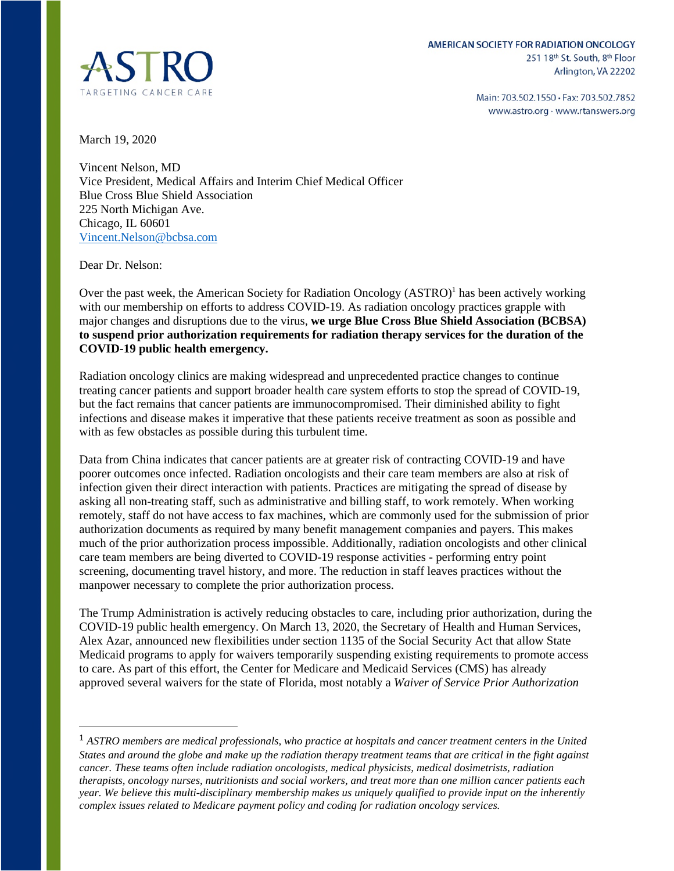

Main: 703.502.1550 · Fax: 703.502.7852 www.astro.org · www.rtanswers.org

March 19, 2020

Vincent Nelson, MD Vice President, Medical Affairs and Interim Chief Medical Officer Blue Cross Blue Shield Association 225 North Michigan Ave. Chicago, IL 60601 [Vincent.Nelson@bcbsa.com](mailto:Vincent.Nelson@bcbsa.com) 

Dear Dr. Nelson:

Over the past week, the American Society for Radiation Oncology (ASTRO)<sup>1</sup> has been actively working with our membership on efforts to address COVID-19. As radiation oncology practices grapple with major changes and disruptions due to the virus, **we urge Blue Cross Blue Shield Association (BCBSA) to suspend prior authorization requirements for radiation therapy services for the duration of the COVID-19 public health emergency.**

Radiation oncology clinics are making widespread and unprecedented practice changes to continue treating cancer patients and support broader health care system efforts to stop the spread of COVID-19, but the fact remains that cancer patients are immunocompromised. Their diminished ability to fight infections and disease makes it imperative that these patients receive treatment as soon as possible and with as few obstacles as possible during this turbulent time.

Data from China indicates that cancer patients are at greater risk of contracting COVID-19 and have poorer outcomes once infected. Radiation oncologists and their care team members are also at risk of infection given their direct interaction with patients. Practices are mitigating the spread of disease by asking all non-treating staff, such as administrative and billing staff, to work remotely. When working remotely, staff do not have access to fax machines, which are commonly used for the submission of prior authorization documents as required by many benefit management companies and payers. This makes much of the prior authorization process impossible. Additionally, radiation oncologists and other clinical care team members are being diverted to COVID-19 response activities - performing entry point screening, documenting travel history, and more. The reduction in staff leaves practices without the manpower necessary to complete the prior authorization process.

The Trump Administration is actively reducing obstacles to care, including prior authorization, during the COVID-19 public health emergency. On March 13, 2020, the Secretary of Health and Human Services, Alex Azar, announced new flexibilities under section 1135 of the Social Security Act that allow State Medicaid programs to apply for waivers temporarily suspending existing requirements to promote access to care. As part of this effort, the Center for Medicare and Medicaid Services (CMS) has already approved several waivers for the state of Florida, most notably a *Waiver of Service Prior Authorization* 

<sup>1</sup> *ASTRO members are medical professionals, who practice at hospitals and cancer treatment centers in the United States and around the globe and make up the radiation therapy treatment teams that are critical in the fight against cancer. These teams often include radiation oncologists, medical physicists, medical dosimetrists, radiation therapists, oncology nurses, nutritionists and social workers, and treat more than one million cancer patients each year. We believe this multi-disciplinary membership makes us uniquely qualified to provide input on the inherently complex issues related to Medicare payment policy and coding for radiation oncology services.*